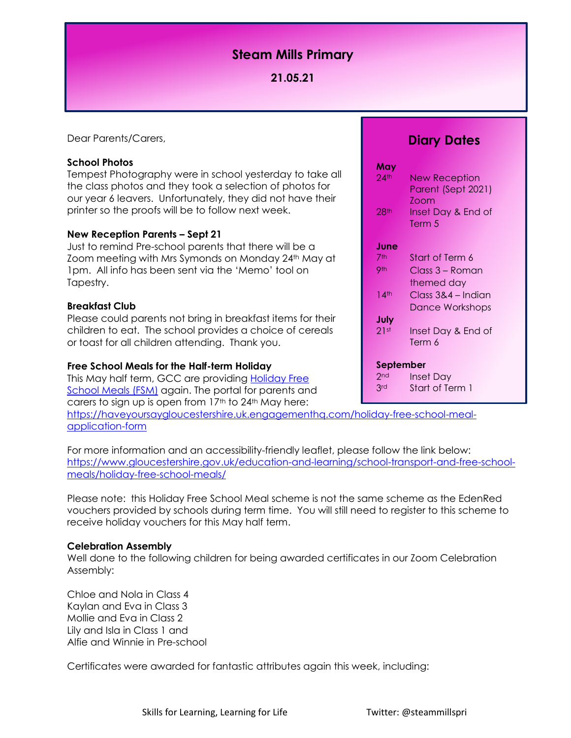# **Steam Mills Primary**

## **21.05.21**

Dear Parents/Carers,

## **School Photos**

Tempest Photography were in school yesterday to take all the class photos and they took a selection of photos for our year 6 leavers. Unfortunately, they did not have their printer so the proofs will be to follow next week.

## **New Reception Parents – Sept 21**

Just to remind Pre-school parents that there will be a Zoom meeting with Mrs Symonds on Monday 24th May at 1pm. All info has been sent via the 'Memo' tool on Tapestry.

## **Breakfast Club**

Please could parents not bring in breakfast items for their children to eat. The school provides a choice of cereals or toast for all children attending. Thank you.

#### **Free School Meals for the Half-term Holiday**

This May half term, GCC are providing **Holiday Free** [School Meals \(FSM\)](https://www.gloucestershire.gov.uk/holiday-school-meals) again. The portal for parents and carers to sign up is open from 17th to 24th May here:

[https://haveyoursaygloucestershire.uk.engagementhq.com/holiday-free-school-meal](https://haveyoursaygloucestershire.uk.engagementhq.com/holiday-free-school-meal-application-form)[application-form](https://haveyoursaygloucestershire.uk.engagementhq.com/holiday-free-school-meal-application-form)

For more information and an accessibility-friendly leaflet, please follow the link below: [https://www.gloucestershire.gov.uk/education-and-learning/school-transport-and-free-school](https://www.gloucestershire.gov.uk/education-and-learning/school-transport-and-free-school-meals/holiday-free-school-meals/)[meals/holiday-free-school-meals/](https://www.gloucestershire.gov.uk/education-and-learning/school-transport-and-free-school-meals/holiday-free-school-meals/)

Please note: this Holiday Free School Meal scheme is not the same scheme as the EdenRed vouchers provided by schools during term time. You will still need to register to this scheme to receive holiday vouchers for this May half term.

#### **Celebration Assembly**

Well done to the following children for being awarded certificates in our Zoom Celebration Assembly:

Chloe and Nola in Class 4 Kaylan and Eva in Class 3 Mollie and Eva in Class 2 Lily and Isla in Class 1 and Alfie and Winnie in Pre-school

Certificates were awarded for fantastic attributes again this week, including:

## **Diary Dates**

| May              |                    |
|------------------|--------------------|
| $24$ th          | New Reception      |
|                  | Parent (Sept 2021) |
|                  | 700m               |
| 28 <sup>th</sup> | Inset Day & End of |
|                  | Term 5             |
|                  |                    |
| June             |                    |
| 7th              | Start of Term 6    |
| <b>9th</b>       | Class 3 – Roman    |
|                  | themed day         |
| 14 <sup>th</sup> | Class 3&4 – Indian |
|                  | Dance Workshops    |
| July             |                    |
| 21st             | Inset Day & End of |
|                  | Term 6             |
| September        |                    |
|                  |                    |
| 2 <sub>nd</sub>  | Inset Day          |
| 3rd              | Start of Term 1    |
|                  |                    |